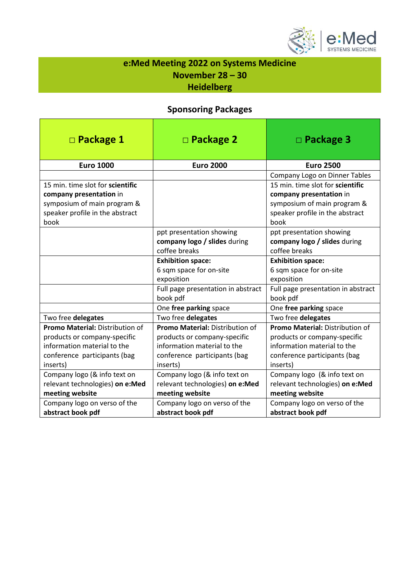

## **e:Med Meeting 2022 on Systems Medicine November 28 – 30 Heidelberg**

### **Sponsoring Packages**

| $\square$ Package 1                    | $\square$ Package 2                    | $\Box$ Package 3                       |
|----------------------------------------|----------------------------------------|----------------------------------------|
| <b>Euro 1000</b>                       | <b>Euro 2000</b>                       | <b>Euro 2500</b>                       |
|                                        |                                        | Company Logo on Dinner Tables          |
| 15 min. time slot for scientific       |                                        | 15 min. time slot for scientific       |
| company presentation in                |                                        | company presentation in                |
| symposium of main program &            |                                        | symposium of main program &            |
| speaker profile in the abstract        |                                        | speaker profile in the abstract        |
| book                                   |                                        | book                                   |
|                                        | ppt presentation showing               | ppt presentation showing               |
|                                        | company logo / slides during           | company logo / slides during           |
|                                        | coffee breaks                          | coffee breaks                          |
|                                        | <b>Exhibition space:</b>               | <b>Exhibition space:</b>               |
|                                        | 6 sqm space for on-site                | 6 sqm space for on-site                |
|                                        | exposition                             | exposition                             |
|                                        | Full page presentation in abstract     | Full page presentation in abstract     |
|                                        | book pdf                               | book pdf                               |
|                                        | One free parking space                 | One free parking space                 |
| Two free delegates                     | Two free delegates                     | Two free delegates                     |
| <b>Promo Material: Distribution of</b> | <b>Promo Material: Distribution of</b> | <b>Promo Material: Distribution of</b> |
| products or company-specific           | products or company-specific           | products or company-specific           |
| information material to the            | information material to the            | information material to the            |
| conference participants (bag           | conference participants (bag           | conference participants (bag           |
| inserts)                               | inserts)                               | inserts)                               |
| Company logo (& info text on           | Company logo (& info text on           | Company logo (& info text on           |
| relevant technologies) on e:Med        | relevant technologies) on e:Med        | relevant technologies) on e:Med        |
| meeting website                        | meeting website                        | meeting website                        |
| Company logo on verso of the           | Company logo on verso of the           | Company logo on verso of the           |
| abstract book pdf                      | abstract book pdf                      | abstract book pdf                      |